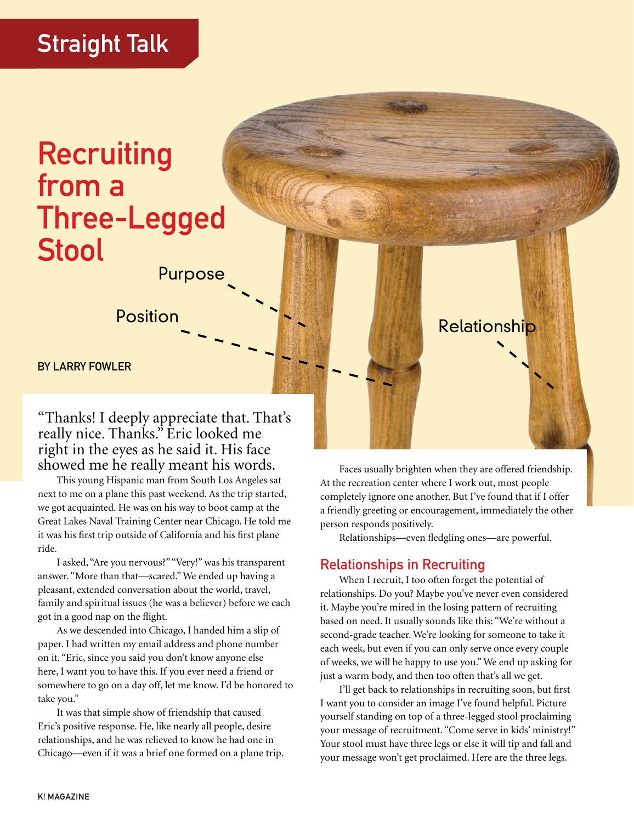## Straight Talk

## **Recruiting** from a Three-Legged Stool

Purpose

Position **Provident Contract Contract Contract Contract Contract Contract Contract Contract Contract Contract Contract Contract Contract Contract Contract Contract Contract Contract Contract Contract Contract Contract Cont** 

BY LARRY FOWLER

"Thanks! I deeply appreciate that. That's really nice. Thanks." Eric looked me right in the eyes as he said it. His face showed me he really meant his words.

This young Hispanic man from South Los Angeles sat next to me on a plane this past weekend. As the trip started, we got acquainted. He was on his way to boot camp at the Great Lakes Naval Training Center near Chicago. He told me it was his first trip outside of California and his first plane ride.

I asked, "Are you nervous?" "Very!" was his transparent answer. "More than that—scared." We ended up having a pleasant, extended conversation about the world, travel, family and spiritual issues (he was a believer) before we each got in a good nap on the flight.

As we descended into Chicago, I handed him a slip of paper. I had written my email address and phone number on it. "Eric, since you said you don't know anyone else here, I want you to have this. If you ever need a friend or somewhere to go on a day off, let me know. I'd be honored to take you."

It was that simple show of friendship that caused Eric's positive response. He, like nearly all people, desire relationships, and he was relieved to know he had one in Chicago—even if it was a brief one formed on a plane trip.

Faces usually brighten when they are offered friendship. At the recreation center where I work out, most people completely ignore one another. But I've found that if I offer a friendly greeting or encouragement, immediately the other person responds positively.

Relationships—even fledgling ones—are powerful.

## Relationships in Recruiting

When I recruit, I too often forget the potential of relationships. Do you? Maybe you've never even considered it. Maybe you're mired in the losing pattern of recruiting based on need. It usually sounds like this: "We're without a second-grade teacher. We're looking for someone to take it each week, but even if you can only serve once every couple of weeks, we will be happy to use you." We end up asking for just a warm body, and then too often that's all we get.

I'll get back to relationships in recruiting soon, but first I want you to consider an image I've found helpful. Picture yourself standing on top of a three-legged stool proclaiming your message of recruitment. "Come serve in kids' ministry!" Your stool must have three legs or else it will tip and fall and your message won't get proclaimed. Here are the three legs.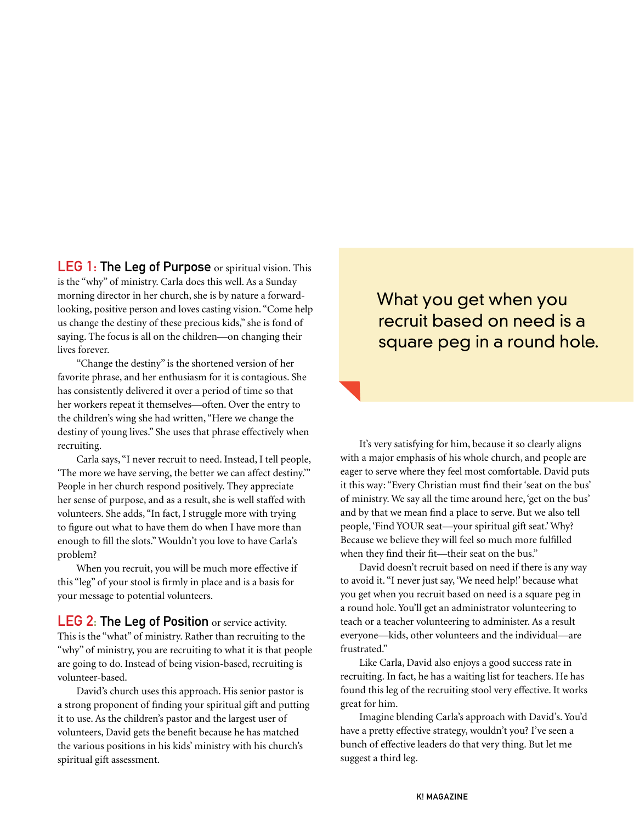LEG 1: The Leg of Purpose or spiritual vision. This is the "why" of ministry. Carla does this well. As a Sunday morning director in her church, she is by nature a forwardlooking, positive person and loves casting vision. "Come help us change the destiny of these precious kids," she is fond of saying. The focus is all on the children—on changing their lives forever.

"Change the destiny" is the shortened version of her favorite phrase, and her enthusiasm for it is contagious. She has consistently delivered it over a period of time so that her workers repeat it themselves—often. Over the entry to the children's wing she had written, "Here we change the destiny of young lives." She uses that phrase effectively when recruiting.

Carla says, "I never recruit to need. Instead, I tell people, 'The more we have serving, the better we can affect destiny.'" People in her church respond positively. They appreciate her sense of purpose, and as a result, she is well staffed with volunteers. She adds, "In fact, I struggle more with trying to figure out what to have them do when I have more than enough to fill the slots." Wouldn't you love to have Carla's problem?

When you recruit, you will be much more effective if this "leg" of your stool is firmly in place and is a basis for your message to potential volunteers.

**LEG 2: The Leg of Position** or service activity. This is the "what" of ministry. Rather than recruiting to the "why" of ministry, you are recruiting to what it is that people are going to do. Instead of being vision-based, recruiting is volunteer-based.

David's church uses this approach. His senior pastor is a strong proponent of finding your spiritual gift and putting it to use. As the children's pastor and the largest user of volunteers, David gets the benefit because he has matched the various positions in his kids' ministry with his church's spiritual gift assessment.

## What you get when you recruit based on need is a square peg in a round hole.

It's very satisfying for him, because it so clearly aligns with a major emphasis of his whole church, and people are eager to serve where they feel most comfortable. David puts it this way: "Every Christian must find their 'seat on the bus' of ministry. We say all the time around here, 'get on the bus' and by that we mean find a place to serve. But we also tell people, 'Find YOUR seat—your spiritual gift seat.' Why? Because we believe they will feel so much more fulfilled when they find their fit—their seat on the bus."

David doesn't recruit based on need if there is any way to avoid it. "I never just say, 'We need help!' because what you get when you recruit based on need is a square peg in a round hole. You'll get an administrator volunteering to teach or a teacher volunteering to administer. As a result everyone—kids, other volunteers and the individual—are frustrated."

Like Carla, David also enjoys a good success rate in recruiting. In fact, he has a waiting list for teachers. He has found this leg of the recruiting stool very effective. It works great for him.

Imagine blending Carla's approach with David's. You'd have a pretty effective strategy, wouldn't you? I've seen a bunch of effective leaders do that very thing. But let me suggest a third leg.